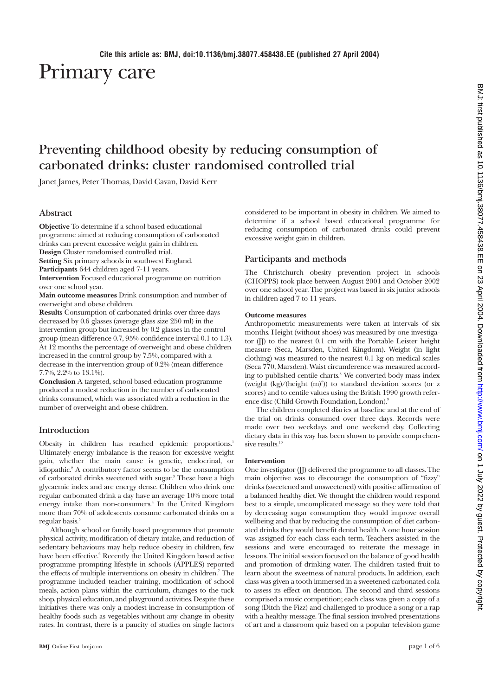# Primary care

# **Preventing childhood obesity by reducing consumption of carbonated drinks: cluster randomised controlled trial**

Janet James, Peter Thomas, David Cavan, David Kerr

# **Abstract**

**Objective** To determine if a school based educational programme aimed at reducing consumption of carbonated drinks can prevent excessive weight gain in children. **Design** Cluster randomised controlled trial.

**Setting** Six primary schools in southwest England.

**Participants** 644 children aged 7-11 years.

**Intervention** Focused educational programme on nutrition over one school year.

**Main outcome measures** Drink consumption and number of overweight and obese children.

**Results** Consumption of carbonated drinks over three days decreased by 0.6 glasses (average glass size 250 ml) in the intervention group but increased by 0.2 glasses in the control group (mean difference 0.7, 95% confidence interval 0.1 to 1.3). At 12 months the percentage of overweight and obese children increased in the control group by 7.5%, compared with a decrease in the intervention group of 0.2% (mean difference 7.7%, 2.2% to 13.1%).

**Conclusion** A targeted, school based education programme produced a modest reduction in the number of carbonated drinks consumed, which was associated with a reduction in the number of overweight and obese children.

## **Introduction**

Obesity in children has reached epidemic proportions.1 Ultimately energy imbalance is the reason for excessive weight gain, whether the main cause is genetic, endocrinal, or idiopathic.2 A contributory factor seems to be the consumption of carbonated drinks sweetened with sugar.<sup>3</sup> These have a high glycaemic index and are energy dense. Children who drink one regular carbonated drink a day have an average 10% more total energy intake than non-consumers.<sup>4</sup> In the United Kingdom more than 70% of adolescents consume carbonated drinks on a regular basis.<sup>5</sup>

Although school or family based programmes that promote physical activity, modification of dietary intake, and reduction of sedentary behaviours may help reduce obesity in children, few have been effective.<sup>6</sup> Recently the United Kingdom based active programme prompting lifestyle in schools (APPLES) reported the effects of multiple interventions on obesity in children.<sup>7</sup> The programme included teacher training, modification of school meals, action plans within the curriculum, changes to the tuck shop, physical education, and playground activities. Despite these initiatives there was only a modest increase in consumption of healthy foods such as vegetables without any change in obesity rates. In contrast, there is a paucity of studies on single factors considered to be important in obesity in children. We aimed to determine if a school based educational programme for reducing consumption of carbonated drinks could prevent excessive weight gain in children.

#### **Participants and methods**

The Christchurch obesity prevention project in schools (CHOPPS) took place between August 2001 and October 2002 over one school year. The project was based in six junior schools in children aged 7 to 11 years.

#### **Outcome measures**

Anthropometric measurements were taken at intervals of six months. Height (without shoes) was measured by one investigator  $(II)$  to the nearest 0.1 cm with the Portable Leister height measure (Seca, Marsden, United Kingdom). Weight (in light clothing) was measured to the nearest 0.1 kg on medical scales (Seca 770, Marsden). Waist circumference was measured according to published centile charts.<sup>8</sup> We converted body mass index (weight (kg)/(height (m)<sup>2</sup>)) to standard deviation scores (or z scores) and to centile values using the British 1990 growth reference disc (Child Growth Foundation, London).<sup>9</sup>

The children completed diaries at baseline and at the end of the trial on drinks consumed over three days. Records were made over two weekdays and one weekend day. Collecting dietary data in this way has been shown to provide comprehensive results.<sup>10</sup>

#### **Intervention**

One investigator (JJ) delivered the programme to all classes. The main objective was to discourage the consumption of "fizzy" drinks (sweetened and unsweetened) with positive affirmation of a balanced healthy diet. We thought the children would respond best to a simple, uncomplicated message so they were told that by decreasing sugar consumption they would improve overall wellbeing and that by reducing the consumption of diet carbonated drinks they would benefit dental health. A one hour session was assigned for each class each term. Teachers assisted in the sessions and were encouraged to reiterate the message in lessons. The initial session focused on the balance of good health and promotion of drinking water. The children tasted fruit to learn about the sweetness of natural products. In addition, each class was given a tooth immersed in a sweetened carbonated cola to assess its effect on dentition. The second and third sessions comprised a music competition; each class was given a copy of a song (Ditch the Fizz) and challenged to produce a song or a rap with a healthy message. The final session involved presentations of art and a classroom quiz based on a popular television game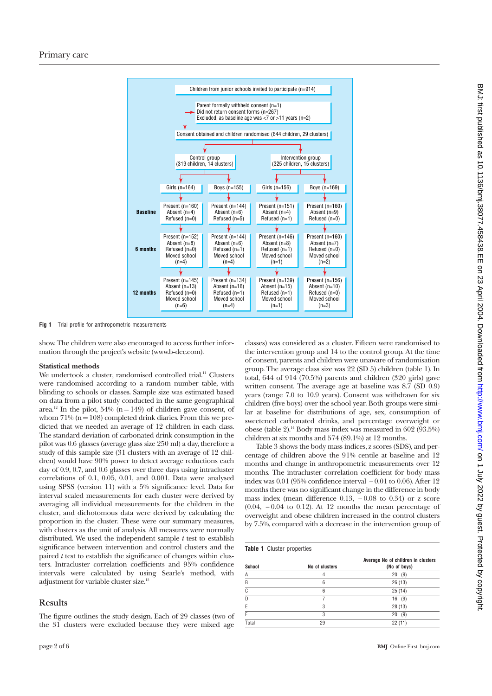

**Fig 1** Trial profile for anthropometric measurements

show. The children were also encouraged to access further information through the project's website (www.b-dec.com).

## **Statistical methods**

We undertook a cluster, randomised controlled trial.<sup>11</sup> Clusters were randomised according to a random number table, with blinding to schools or classes. Sample size was estimated based on data from a pilot study conducted in the same geographical area.<sup>12</sup> In the pilot, 54% ( $n = 149$ ) of children gave consent, of whom  $71\%$  (n = 108) completed drink diaries. From this we predicted that we needed an average of 12 children in each class. The standard deviation of carbonated drink consumption in the pilot was 0.6 glasses (average glass size 250 ml) a day, therefore a study of this sample size (31 clusters with an average of 12 children) would have 90% power to detect average reductions each day of 0.9, 0.7, and 0.6 glasses over three days using intracluster correlations of 0.1, 0.05, 0.01, and 0.001. Data were analysed using SPSS (version 11) with a 5% significance level. Data for interval scaled measurements for each cluster were derived by averaging all individual measurements for the children in the cluster, and dichotomous data were derived by calculating the proportion in the cluster. These were our summary measures, with clusters as the unit of analysis. All measures were normally distributed. We used the independent sample *t* test to establish significance between intervention and control clusters and the paired *t* test to establish the significance of changes within clusters. Intracluster correlation coefficients and 95% confidence intervals were calculated by using Searle's method, with adjustment for variable cluster size.<sup>13</sup>

# **Results**

The figure outlines the study design. Each of 29 classes (two of the 31 clusters were excluded because they were mixed age classes) was considered as a cluster. Fifteen were randomised to the intervention group and 14 to the control group. At the time of consent, parents and children were unaware of randomisation group. The average class size was 22 (SD 5) children (table 1). In total, 644 of 914 (70.5%) parents and children (320 girls) gave written consent. The average age at baseline was 8.7 (SD 0.9) years (range 7.0 to 10.9 years). Consent was withdrawn for six children (five boys) over the school year. Both groups were similar at baseline for distributions of age, sex, consumption of sweetened carbonated drinks, and percentage overweight or obese (table 2).<sup>14</sup> Body mass index was measured in 602 ( $\overline{93.5\%}$ ) children at six months and 574 (89.1%) at 12 months.

Table 3 shows the body mass indices, z scores (SDS), and percentage of children above the 91% centile at baseline and 12 months and change in anthropometric measurements over 12 months. The intracluster correlation coefficient for body mass index was 0.01 (95% confidence interval − 0.01 to 0.06). After 12 months there was no significant change in the difference in body mass index (mean difference  $0.13$ ,  $-0.08$  to  $0.34$ ) or z score (0.04, − 0.04 to 0.12). At 12 months the mean percentage of overweight and obese children increased in the control clusters by 7.5%, compared with a decrease in the intervention group of

|  | <b>Table 1</b> Cluster properties |
|--|-----------------------------------|
|  |                                   |

| School | No of clusters | Average No of children in clusters<br>(No of boys) |
|--------|----------------|----------------------------------------------------|
| А      |                | 20<br>(9)                                          |
| R      | ĥ              | 26(13)                                             |
|        | հ              | 25(14)                                             |
|        |                | 16(9)                                              |
|        | 3              | 28(13)                                             |
|        | Q              | (9)<br>20                                          |
| Total  | 29             | 22(11)                                             |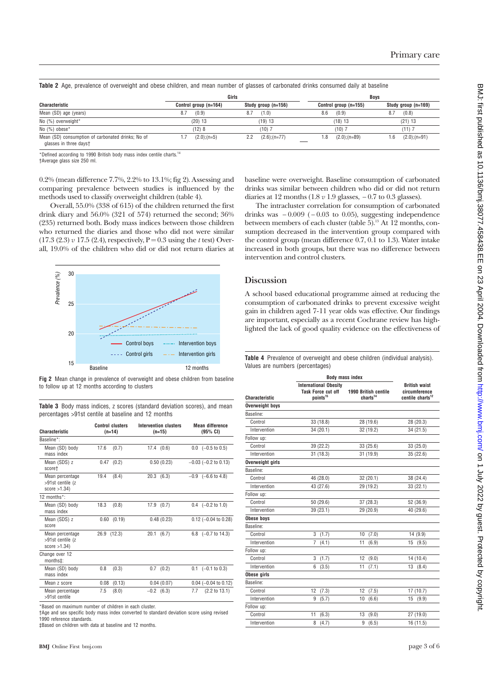|  |  |  | Table 2 Age, prevalence of overweight and obese children, and mean number of glasses of carbonated drinks consumed daily at baseline |  |  |  |  |  |  |  |  |  |
|--|--|--|--------------------------------------------------------------------------------------------------------------------------------------|--|--|--|--|--|--|--|--|--|
|--|--|--|--------------------------------------------------------------------------------------------------------------------------------------|--|--|--|--|--|--|--|--|--|

|                                                                             |                       | Girls                   |                       | <b>Boys</b>             |  |  |
|-----------------------------------------------------------------------------|-----------------------|-------------------------|-----------------------|-------------------------|--|--|
| Characteristic                                                              | Control group (n=164) | Study group (n=156)     | Control group (n=155) | Study group (n=169)     |  |  |
| Mean (SD) age (years)                                                       | (0.9)<br>8.7          | (1.0)<br>8.7            | 8.6<br>(0.9)          | (0.8)<br>8.7            |  |  |
| No (%) overweight*                                                          | $(20)$ 13             | $(19)$ 13               | $(18)$ 13             | (21) 13                 |  |  |
| No $(\%)$ obese $*$                                                         | (12)8                 | ; (10)                  | (10)                  | $(11)$ 7                |  |  |
| Mean (SD) consumption of carbonated drinks; No of<br>glasses in three dayst | $(2.0)$ ; (n=5)       | $(2.6)$ ; (n=77)<br>2.2 | $(2.0)(n=89)$<br>.8   | $(2.0);$ $(n=91)$<br>.6 |  |  |

\*Defined according to 1990 British body mass index centile charts.<sup>14</sup>

†Average glass size 250 ml.

0.2% (mean difference 7.7%, 2.2% to 13.1%; fig 2). Assessing and comparing prevalence between studies is influenced by the methods used to classify overweight children (table 4).

Overall, 55.0% (338 of 615) of the children returned the first drink diary and 56.0% (321 of 574) returned the second; 36% (235) returned both. Body mass indices between those children who returned the diaries and those who did not were similar  $(17.3 (2.3) v 17.5 (2.4)$ , respectively,  $P = 0.3$  using the *t* test) Overall, 19.0% of the children who did or did not return diaries at



**Fig 2** Mean change in prevalence of overweight and obese children from baseline to follow up at 12 months according to clusters

|  |  | <b>Table 3</b> Body mass indices, z scores (standard deviation scores), and mean |  |  |
|--|--|----------------------------------------------------------------------------------|--|--|
|  |  | percentages >91st centile at baseline and 12 months                              |  |  |

| Characteristic                                         | <b>Control clusters</b><br>$(n=14)$ | <b>Intervention clusters</b><br>$(n=15)$ | <b>Mean difference</b><br>(95% CI) |
|--------------------------------------------------------|-------------------------------------|------------------------------------------|------------------------------------|
| Baseline*:                                             |                                     |                                          |                                    |
| Mean (SD) body<br>mass index                           | 17.6<br>(0.7)                       | 17.4(0.6)                                | $0.0$ $(-0.5 \text{ to } 0.5)$     |
| Mean (SDS) z<br>scoret                                 | $0.47$ $(0.2)$                      | 0.50(0.23)                               | $-0.03$ ( $-0.2$ to 0.13)          |
| Mean percentage<br>>91st centile (z<br>score $>1.34$ ) | 19.4<br>(8.4)                       | 20.3(6.3)                                | $-0.9$ $(-6.6 \text{ to } 4.8)$    |
| 12 months $*$                                          |                                     |                                          |                                    |
| Mean (SD) body<br>mass index                           | 18.3<br>(0.8)                       | $17.9$ $(0.7)$                           | $0.4$ $(-0.2 \text{ to } 1.0)$     |
| Mean (SDS) z<br>score                                  | 0.60<br>(0.19)                      | 0.48(0.23)                               | $0.12$ (-0.04 to 0.28)             |
| Mean percentage<br>>91st centile (z<br>score $>1.34$ ) | 26.9 (12.3)                         | 20.1<br>(6.7)                            | 6.8 $(-0.7 \text{ to } 14.3)$      |
| Change over 12<br>months±:                             |                                     |                                          |                                    |
| Mean (SD) body<br>mass index                           | 0.8<br>(0.3)                        | $0.7$ $(0.2)$                            | $0.1$ $(-0.1 \text{ to } 0.3)$     |
| Mean z score                                           | 0.08<br>(0.13)                      | 0.04(0.07)                               | $0.04$ (-0.04 to 0.12)             |
| Mean percentage<br>>91st centile                       | 7.5<br>(8.0)                        | $-0.2$ (6.3)                             | 7.7<br>$(2.2 \text{ to } 13.1)$    |

\*Based on maximum number of children in each cluster.

†Age and sex specific body mass index converted to standard deviation score using revised 1990 reference standards

‡Based on children with data at baseline and 12 months.

baseline were overweight. Baseline consumption of carbonated drinks was similar between children who did or did not return diaries at 12 months (1.8 *v* 1.9 glasses, − 0.7 to 0.3 glasses).

The intracluster correlation for consumption of carbonated drinks was  $-0.009$  ( $-0.03$  to 0.05), suggesting independence between members of each cluster (table  $5$ ).<sup>13</sup> At 12 months, consumption decreased in the intervention group compared with the control group (mean difference 0.7, 0.1 to 1.3). Water intake increased in both groups, but there was no difference between intervention and control clusters.

# **Discussion**

A school based educational programme aimed at reducing the consumption of carbonated drinks to prevent excessive weight gain in children aged 7-11 year olds was effective. Our findings are important, especially as a recent Cochrane review has highlighted the lack of good quality evidence on the effectiveness of

**Table 4** Prevalence of overweight and obese children (individual analysis). Values are numbers (percentages)

|                       | <b>Body mass index</b>                                                            |                                              |                                                                       |  |  |
|-----------------------|-----------------------------------------------------------------------------------|----------------------------------------------|-----------------------------------------------------------------------|--|--|
| <b>Characteristic</b> | <b>International Obesity</b><br><b>Task Force cut off</b><br>points <sup>15</sup> | 1990 British centile<br>charts <sup>14</sup> | <b>British waist</b><br>circumference<br>centile charts <sup>12</sup> |  |  |
| Overweight boys       |                                                                                   |                                              |                                                                       |  |  |
| Baseline:             |                                                                                   |                                              |                                                                       |  |  |
| Control               | 33 (18.8)                                                                         | 28 (19.6)                                    | 28 (20.3)                                                             |  |  |
| Intervention          | 34 (20.1)                                                                         | 32 (19.2)                                    | 34(21.5)                                                              |  |  |
| Follow up:            |                                                                                   |                                              |                                                                       |  |  |
| Control               | 39 (22.2)                                                                         | 33 (25.6)                                    | 33 (25.0)                                                             |  |  |
| Intervention          | 31(18.3)                                                                          | 31 (19.9)                                    | 35(22.6)                                                              |  |  |
| Overweight girls      |                                                                                   |                                              |                                                                       |  |  |
| <b>Raseline:</b>      |                                                                                   |                                              |                                                                       |  |  |
| Control               | 46 (28.0)                                                                         | 32(20.1)                                     | 38 (24.4)                                                             |  |  |
| Intervention          | 43 (27.6)                                                                         | 29 (19.2)                                    | 33 (22.1)                                                             |  |  |
| Follow up:            |                                                                                   |                                              |                                                                       |  |  |
| Control               | 50 (29.6)                                                                         | 37(28.3)                                     | 52 (36.9)                                                             |  |  |
| Intervention          | 39 (23.1)                                                                         | 29 (20.9)                                    | 40 (29.6)                                                             |  |  |
| Obese boys            |                                                                                   |                                              |                                                                       |  |  |
| Baseline:             |                                                                                   |                                              |                                                                       |  |  |
| Control               | 3<br>(1.7)                                                                        | 10<br>(7.0)                                  | 14 (9.9)                                                              |  |  |
| Intervention          | 7<br>(4.1)                                                                        | 11<br>(6.9)                                  | 15<br>(9.5)                                                           |  |  |
| Follow up:            |                                                                                   |                                              |                                                                       |  |  |
| Control               | 3<br>(1.7)                                                                        | 12<br>(9.0)                                  | 14 (10.4)                                                             |  |  |
| Intervention          | (3.5)<br>6                                                                        | 11<br>(7.1)                                  | 13(8.4)                                                               |  |  |
| Obese girls           |                                                                                   |                                              |                                                                       |  |  |
| Baseline:             |                                                                                   |                                              |                                                                       |  |  |
| Control               | 12<br>(7.3)                                                                       | 12<br>(7.5)                                  | 17(10.7)                                                              |  |  |
| Intervention          | 9<br>(5.7)                                                                        | 10<br>(6.6)                                  | 15<br>(9.9)                                                           |  |  |
| Follow up:            |                                                                                   |                                              |                                                                       |  |  |
| Control               | 11<br>(6.3)                                                                       | (9.0)<br>13                                  | 27 (19.0)                                                             |  |  |
| Intervention          | 8<br>(4.7)                                                                        | 9<br>(6.5)                                   | 16 (11.5)                                                             |  |  |
|                       |                                                                                   |                                              |                                                                       |  |  |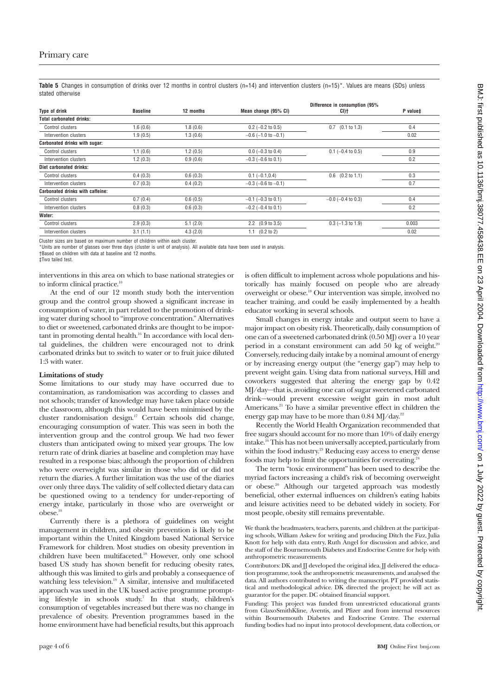Table 5 Changes in consumption of drinks over 12 months in control clusters (n=14) and intervention clusters (n=15)\*. Values are means (SDs) unless stated otherwise

|                 |           |                             | Difference in consumption (95% |          |
|-----------------|-----------|-----------------------------|--------------------------------|----------|
| <b>Baseline</b> | 12 months | Mean change (95% CI)        | CI)t                           | P value‡ |
|                 |           |                             |                                |          |
| 1.6(0.6)        | 1.8(0.6)  | $0.2$ (-0.2 to 0.5)         | (0.1 to 1.3)<br>0.7            | 0.4      |
| 1.9(0.5)        | 1.3(0.6)  | $-0.6$ ( $-1.0$ to $-0.1$ ) |                                | 0.02     |
|                 |           |                             |                                |          |
| 1.1(0.6)        | 1.2(0.5)  | $0.0$ (-0.3 to 0.4)         | $0.1$ (-0.4 to 0.5)            | 0.9      |
| 1.2(0.3)        | 0.9(0.6)  | $-0.3$ ( $-0.6$ to 0.1)     |                                | 0.2      |
|                 |           |                             |                                |          |
| 0.4(0.3)        | 0.6(0.3)  | $0.1 (-0.1, 0.4)$           | $0.6$ $(0.2 \text{ to } 1.1)$  | 0.3      |
| 0.7(0.3)        | 0.4(0.2)  | $-0.3$ ( $-0.6$ to $-0.1$ ) |                                | 0.7      |
|                 |           |                             |                                |          |
| 0.7(0.4)        | 0.6(0.5)  | $-0.1$ ( $-0.3$ to 0.1)     | $-0.0$ ( $-0.4$ to 0.3)        | 0.4      |
| 0.8(0.3)        | 0.6(0.3)  | $-0.2$ ( $-0.4$ to 0.1)     |                                | 0.2      |
|                 |           |                             |                                |          |
| 2.9(0.3)        | 5.1(2.0)  | $2.2$ (0.9 to 3.5)          | $0.3$ (-1.3 to 1.9)            | 0.003    |
| 3.1(1.1)        | 4.3(2.0)  | (0.2 to 2)<br>1.1           |                                | 0.02     |
|                 |           |                             |                                |          |

Cluster sizes are based on maximum number of children within each cluster.

\*Units are number of glasses over three days (cluster is unit of analysis). All available data have been used in analysis.

†Based on children with data at baseline and 12 months.

‡Two tailed test.

interventions in this area on which to base national strategies or to inform clinical practice.<sup>10</sup>

At the end of our 12 month study both the intervention group and the control group showed a significant increase in consumption of water, in part related to the promotion of drinking water during school to "improve concentration." Alternatives to diet or sweetened, carbonated drinks are thought to be important in promoting dental health.<sup>16</sup> In accordance with local dental guidelines, the children were encouraged not to drink carbonated drinks but to switch to water or to fruit juice diluted 1:3 with water.

#### **Limitations of study**

Some limitations to our study may have occurred due to contamination, as randomisation was according to classes and not schools; transfer of knowledge may have taken place outside the classroom, although this would have been minimised by the cluster randomisation design.17 Certain schools did change, encouraging consumption of water. This was seen in both the intervention group and the control group. We had two fewer clusters than anticipated owing to mixed year groups. The low return rate of drink diaries at baseline and completion may have resulted in a response bias; although the proportion of children who were overweight was similar in those who did or did not return the diaries. A further limitation was the use of the diaries over only three days. The validity of self collected dietary data can be questioned owing to a tendency for under-reporting of energy intake, particularly in those who are overweight or  $obese.<sup>1</sup>$ 

Currently there is a plethora of guidelines on weight management in children, and obesity prevention is likely to be important within the United Kingdom based National Service Framework for children. Most studies on obesity prevention in children have been multifaceted.18 However, only one school based US study has shown benefit for reducing obesity rates, although this was limited to girls and probably a consequence of watching less television.<sup>19</sup> A similar, intensive and multifaceted approach was used in the UK based active programme prompting lifestyle in schools study.<sup>7</sup> In that study, children's consumption of vegetables increased but there was no change in prevalence of obesity. Prevention programmes based in the home environment have had beneficial results, but this approach is often difficult to implement across whole populations and historically has mainly focused on people who are already overweight or obese.18 Our intervention was simple, involved no teacher training, and could be easily implemented by a health educator working in several schools.

Small changes in energy intake and output seem to have a major impact on obesity risk. Theoretically, daily consumption of one can of a sweetened carbonated drink (0.50 MJ) over a 10 year period in a constant environment can add 50 kg of weight.<sup>20</sup> Conversely, reducing daily intake by a nominal amount of energy or by increasing energy output (the "energy gap") may help to prevent weight gain. Using data from national surveys, Hill and coworkers suggested that altering the energy gap by 0.42 MJ/day—that is, avoiding one can of sugar sweetened carbonated drink—would prevent excessive weight gain in most adult Americans.<sup>21</sup> To have a similar preventive effect in children the energy gap may have to be more than 0.84 MJ/day.<sup>22</sup>

Recently the World Health Organization recommended that free sugars should account for no more than 10% of daily energy intake.16 This has not been universally accepted, particularly from within the food industry.<sup>23</sup> Reducing easy access to energy dense foods may help to limit the opportunities for overeating.<sup>2</sup>

The term "toxic environment" has been used to describe the myriad factors increasing a child's risk of becoming overweight or obese.<sup>20</sup> Although our targeted approach was modestly beneficial, other external influences on children's eating habits and leisure activities need to be debated widely in society. For most people, obesity still remains preventable.

We thank the headmasters, teachers, parents, and children at the participating schools, William Askew for writing and producing Ditch the Fizz, Julia Knott for help with data entry, Ruth Angel for discussion and advice, and the staff of the Bournemouth Diabetes and Endocrine Centre for help with anthropometric measurements.

Contributors: DK and JJ developed the original idea. JJ delivered the education programme, took the anthropometric measurements, and analysed the data. All authors contributed to writing the manuscript. PT provided statistical and methodological advice. DK directed the project; he will act as guarantor for the paper. DC obtained financial support.

Funding: This project was funded from unrestricted educational grants from GlaxoSmithKline, Aventis, and Pfizer and from internal resources within Bournemouth Diabetes and Endocrine Centre. The external funding bodies had no input into protocol development, data collection, or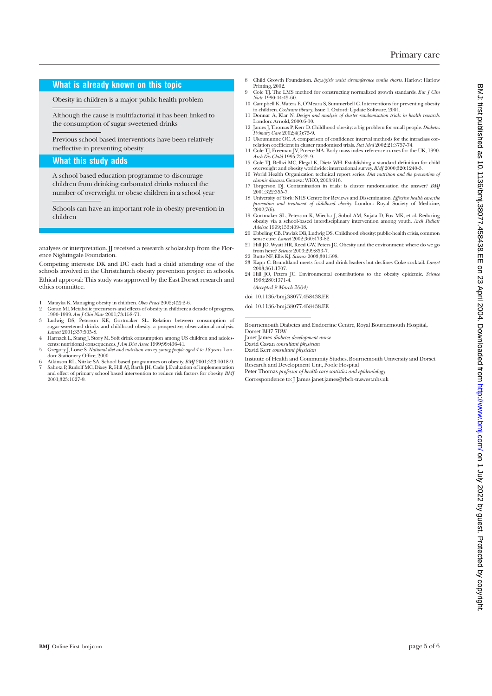# **What is already known on this topic**

Obesity in children is a major public health problem

Although the cause is multifactorial it has been linked to the consumption of sugar sweetened drinks

Previous school based interventions have been relatively ineffective in preventing obesity

#### **What this study adds**

A school based education programme to discourage children from drinking carbonated drinks reduced the number of overweight or obese children in a school year

Schools can have an important role in obesity prevention in children

analyses or interpretation. JJ received a research scholarship from the Florence Nightingale Foundation.

Competing interests: DK and DC each had a child attending one of the schools involved in the Christchurch obesity prevention project in schools. Ethical approval: This study was approved by the East Dorset research and ethics committee.

- 1 Matayka K. Managing obesity in children. *Obes Pract* 2002;4(2):2-6.
- 2 Goran MI. Metabolic precursors and effects of obesity in children: a decade of progress, 1990-1999. *Am J Clin Nutr* 2001;73:158-71.
- 3 Ludwig DS, Peterson KE, Gortmaker SL. Relation between consumption of sugar-sweetened drinks and childhood obesity: a prospective, observational analysis. *Lancet* 2001;357:505-8.
- 4 Harnack L, Stang J, Story M. Soft drink consumption among US children and adolescents: nutritional consequences. *J Am Diet Assoc* 1999;99:436-41.<br>5 Gegory J, Lowe S. National diet and nutrition survey: young people aged
- 
- 6 Atkinson RL, Nitzke SA. School based programmes on obesity. *BMJ* 2001;323:1018-9. 7 Sahota P, Rudolf MC, Dixey R, Hill AJ, Barth JH, Cade J. Evaluation of implementation and effect of primary school based intervention to reduce risk factors for obesity. *BMJ* 2001;323:1027-9.
- 8 Child Growth Foundation. *Boys/girls waist circumference centile charts*. Harlow: Harlow Printing, 2002.
- 9 Cole TJ. The LMS method for constructing normalized growth standards. *Eur J Clin Nutr* 1990;44:45-60.
- 10 Campbell K, Waters E, O'Meara S, Summerbell C. Interventions for preventing obesity
- in children. *Cochrane library*, Issue 1. Oxford: Update Software, 2001. 11 Donnar A, Klar N. *Design and analysis of cluster randomisation trials in health research*. London: Arnold, 2000:6-10.
- 12 James J, Thomas P, Kerr D. Childhood obesity: a big problem for small people. *Diabetes Primary Care* 2002;4(3):75-9. 13 Ukoumunne OC. A comparison of confidence interval methods for the intraclass cor-
- relation coefficient in cluster randomised trials. *Stat Med* 2002;21:3757-74. 14 Cole TJ, Freeman JV, Preece MA. Body mass index reference curves for the UK, 1990.
- *Arch Dis Child* 1995;73:25-9. 15 Cole TJ, Bellizi MC, Flegal K, Dietz WH. Establishing a standard definition for child
- overweight and obesity worldwide: international survey. *BMJ* 2000;320:1240-3. 16 World Health Organization technical report series. *Diet nutrition and the prevention of*
- *chronic diseases*. Geneva: WHO, 2003:916. 17 Torgerson DJ. Contamination in trials: is cluster randomisation the answer? *BMJ* 2001;322:355-7. 18 University of York: NHS Centre for Reviews and Dissemination. *Effective health care: the*
- *prevention and treatment of childhood obesity.* London: Royal Society of Medicine, 2002;7(6).
- 19 Gortmaker SL, Peterson K, Wiecha J, Sobol AM, Sujata D, Fox MK, et al. Reducing obesity via a school-based interdisciplinary intervention among youth. *Arch Pediatr*
- *Adolesc* 1999;153:409-18. 20 Ebbeling CB, Pawlak DB, Ludwig DS. Childhood obesity: public-health crisis, common sense cure. *Lancet* 2002;360:473-82.
- 21 Hill JO, Wyatt HR, Reed GW, Peters JC. Obesity and the environment: where do we go from here? *Science* 2003;299:853-7.
- 22 Butte NF, Ellis KJ. *Science* 2003;301:598. 23 Kapp C. Brundtland meets food and drink leaders but declines Coke cocktail. *Lancet* 2003;361:1707.
- 24 Hill JO, Peters JC. Environmental contributions to the obesity epidemic. *Science* 1998;280:1371-4. *(Accepted 9 March 2004)*

doi 10.1136/bmj.38077.458438.EE

doi 10.1136/bmj.38077.458438.EE

Bournemouth Diabetes and Endocrine Centre, Royal Bournemouth Hospital, Dorset BH7 7DW

Janet James *diabetes development nurse*

David Cavan *consultant physician* David Kerr *consultant physician*

Institute of Health and Community Studies, Bournemouth University and Dorset Research and Development Unit, Poole Hospital

Peter Thomas *professor of health care statistics and epidemiology*

Correspondence to: J James janet.james@rbch-tr.swest.nhs.uk